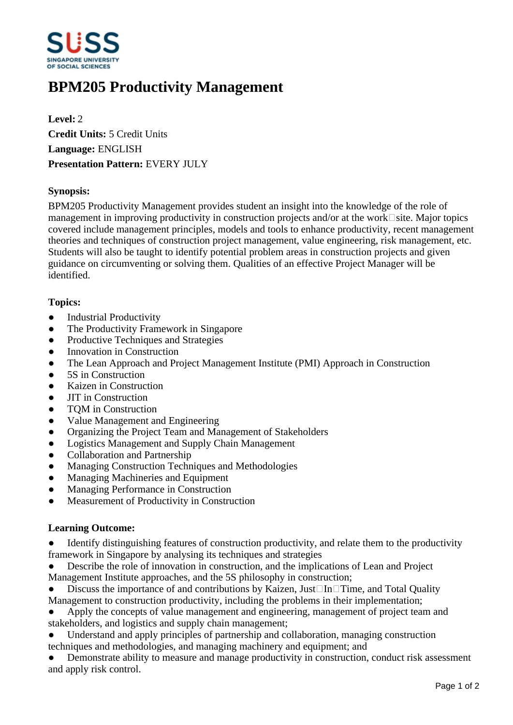

# **BPM205 Productivity Management**

**Level:** 2 **Credit Units:** 5 Credit Units **Language:** ENGLISH **Presentation Pattern:** EVERY JULY

### **Synopsis:**

BPM205 Productivity Management provides student an insight into the knowledge of the role of management in improving productivity in construction projects and/or at the work $\Box$ site. Major topics covered include management principles, models and tools to enhance productivity, recent management theories and techniques of construction project management, value engineering, risk management, etc. Students will also be taught to identify potential problem areas in construction projects and given guidance on circumventing or solving them. Qualities of an effective Project Manager will be identified.

#### **Topics:**

- Industrial Productivity
- The Productivity Framework in Singapore
- Productive Techniques and Strategies
- Innovation in Construction
- The Lean Approach and Project Management Institute (PMI) Approach in Construction
- 5S in Construction
- Kaizen in Construction
- JIT in Construction
- TOM in Construction
- Value Management and Engineering
- Organizing the Project Team and Management of Stakeholders
- Logistics Management and Supply Chain Management
- Collaboration and Partnership
- Managing Construction Techniques and Methodologies
- Managing Machineries and Equipment
- Managing Performance in Construction
- Measurement of Productivity in Construction

#### **Learning Outcome:**

- Identify distinguishing features of construction productivity, and relate them to the productivity framework in Singapore by analysing its techniques and strategies
- Describe the role of innovation in construction, and the implications of Lean and Project Management Institute approaches, and the 5S philosophy in construction;
- Discuss the importance of and contributions by Kaizen, Just $\Box$ In $\Box$ Time, and Total Quality
- Management to construction productivity, including the problems in their implementation;
- Apply the concepts of value management and engineering, management of project team and stakeholders, and logistics and supply chain management;
- Understand and apply principles of partnership and collaboration, managing construction techniques and methodologies, and managing machinery and equipment; and
- Demonstrate ability to measure and manage productivity in construction, conduct risk assessment and apply risk control.